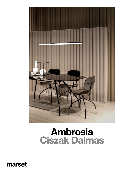

# Ambrosia Ciszak Dalmas